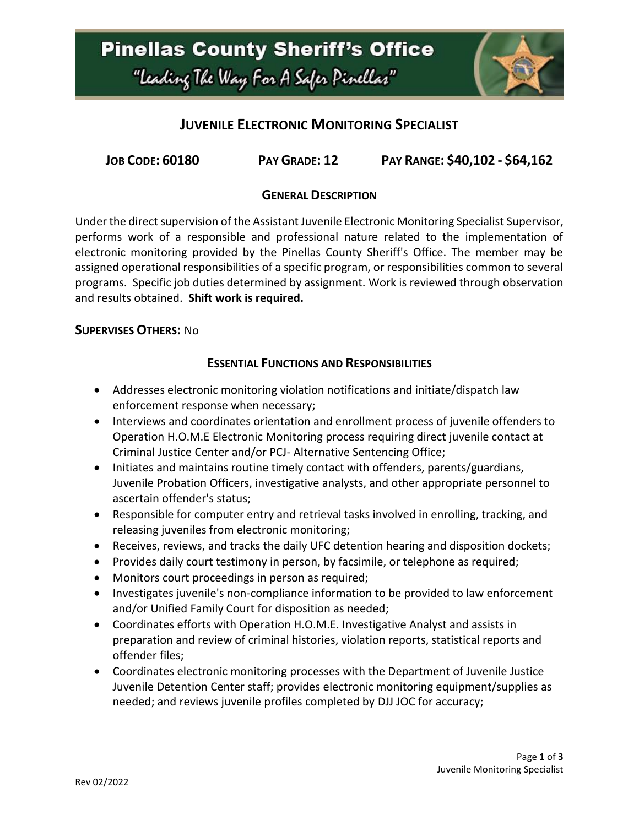

## **JUVENILE ELECTRONIC MONITORING SPECIALIST**

| <b>JOB CODE: 60180</b><br>PAY GRADE: 12 | PAY RANGE: \$40,102 - \$64,162 |
|-----------------------------------------|--------------------------------|
|-----------------------------------------|--------------------------------|

### **GENERAL DESCRIPTION**

Under the direct supervision of the Assistant Juvenile Electronic Monitoring Specialist Supervisor, performs work of a responsible and professional nature related to the implementation of electronic monitoring provided by the Pinellas County Sheriff's Office. The member may be assigned operational responsibilities of a specific program, or responsibilities common to several programs. Specific job duties determined by assignment. Work is reviewed through observation and results obtained. **Shift work is required.**

#### **SUPERVISES OTHERS:** No

#### **ESSENTIAL FUNCTIONS AND RESPONSIBILITIES**

- Addresses electronic monitoring violation notifications and initiate/dispatch law enforcement response when necessary;
- Interviews and coordinates orientation and enrollment process of juvenile offenders to Operation H.O.M.E Electronic Monitoring process requiring direct juvenile contact at Criminal Justice Center and/or PCJ- Alternative Sentencing Office;
- Initiates and maintains routine timely contact with offenders, parents/guardians, Juvenile Probation Officers, investigative analysts, and other appropriate personnel to ascertain offender's status;
- Responsible for computer entry and retrieval tasks involved in enrolling, tracking, and releasing juveniles from electronic monitoring;
- Receives, reviews, and tracks the daily UFC detention hearing and disposition dockets;
- Provides daily court testimony in person, by facsimile, or telephone as required;
- Monitors court proceedings in person as required;
- Investigates juvenile's non-compliance information to be provided to law enforcement and/or Unified Family Court for disposition as needed;
- Coordinates efforts with Operation H.O.M.E. Investigative Analyst and assists in preparation and review of criminal histories, violation reports, statistical reports and offender files;
- Coordinates electronic monitoring processes with the Department of Juvenile Justice Juvenile Detention Center staff; provides electronic monitoring equipment/supplies as needed; and reviews juvenile profiles completed by DJJ JOC for accuracy;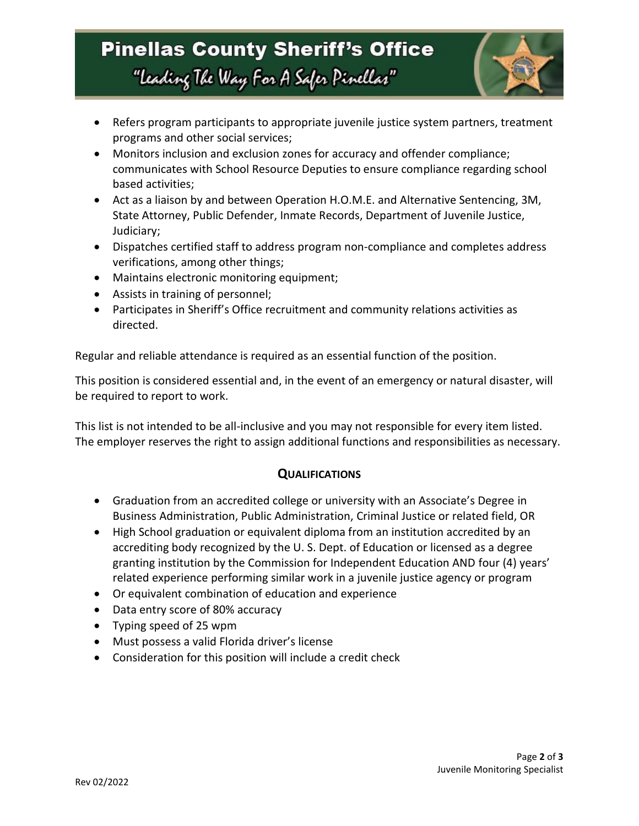# **Pinellas County Sheriff's Office** "Leading The Way For A Safer Pinellar"



- Refers program participants to appropriate juvenile justice system partners, treatment programs and other social services;
- Monitors inclusion and exclusion zones for accuracy and offender compliance; communicates with School Resource Deputies to ensure compliance regarding school based activities;
- Act as a liaison by and between Operation H.O.M.E. and Alternative Sentencing, 3M, State Attorney, Public Defender, Inmate Records, Department of Juvenile Justice, Judiciary;
- Dispatches certified staff to address program non-compliance and completes address verifications, among other things;
- Maintains electronic monitoring equipment;
- Assists in training of personnel;
- Participates in Sheriff's Office recruitment and community relations activities as directed.

Regular and reliable attendance is required as an essential function of the position.

This position is considered essential and, in the event of an emergency or natural disaster, will be required to report to work.

This list is not intended to be all-inclusive and you may not responsible for every item listed. The employer reserves the right to assign additional functions and responsibilities as necessary.

### **QUALIFICATIONS**

- Graduation from an accredited college or university with an Associate's Degree in Business Administration, Public Administration, Criminal Justice or related field, OR
- High School graduation or equivalent diploma from an institution accredited by an accrediting body recognized by the U. S. Dept. of Education or licensed as a degree granting institution by the Commission for Independent Education AND four (4) years' related experience performing similar work in a juvenile justice agency or program
- Or equivalent combination of education and experience
- Data entry score of 80% accuracy
- Typing speed of 25 wpm
- Must possess a valid Florida driver's license
- Consideration for this position will include a credit check